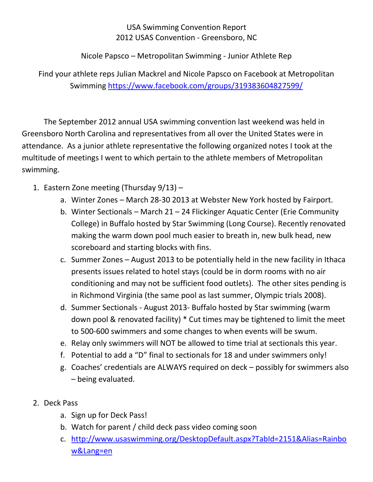## USA Swimming Convention Report 2012 USAS Convention - Greensboro, NC

Nicole Papsco – Metropolitan Swimming - Junior Athlete Rep

Find your athlete reps Julian Mackrel and Nicole Papsco on Facebook at Metropolitan Swimming<https://www.facebook.com/groups/319383604827599/>

The September 2012 annual USA swimming convention last weekend was held in Greensboro North Carolina and representatives from all over the United States were in attendance. As a junior athlete representative the following organized notes I took at the multitude of meetings I went to which pertain to the athlete members of Metropolitan swimming.

- 1. Eastern Zone meeting (Thursday 9/13)
	- a. Winter Zones March 28-30 2013 at Webster New York hosted by Fairport.
	- b. Winter Sectionals March 21 24 Flickinger Aquatic Center (Erie Community College) in Buffalo hosted by Star Swimming (Long Course). Recently renovated making the warm down pool much easier to breath in, new bulk head, new scoreboard and starting blocks with fins.
	- c. Summer Zones August 2013 to be potentially held in the new facility in Ithaca presents issues related to hotel stays (could be in dorm rooms with no air conditioning and may not be sufficient food outlets). The other sites pending is in Richmond Virginia (the same pool as last summer, Olympic trials 2008).
	- d. Summer Sectionals August 2013- Buffalo hosted by Star swimming (warm down pool & renovated facility) \* Cut times may be tightened to limit the meet to 500-600 swimmers and some changes to when events will be swum.
	- e. Relay only swimmers will NOT be allowed to time trial at sectionals this year.
	- f. Potential to add a "D" final to sectionals for 18 and under swimmers only!
	- g. Coaches' credentials are ALWAYS required on deck possibly for swimmers also – being evaluated.
- 2. Deck Pass
	- a. Sign up for Deck Pass!
	- b. Watch for parent / child deck pass video coming soon
	- c. [http://www.usaswimming.org/DesktopDefault.aspx?TabId=2151&Alias=Rainbo](http://www.usaswimming.org/DesktopDefault.aspx?TabId=2151&Alias=Rainbow&Lang=en) [w&Lang=en](http://www.usaswimming.org/DesktopDefault.aspx?TabId=2151&Alias=Rainbow&Lang=en)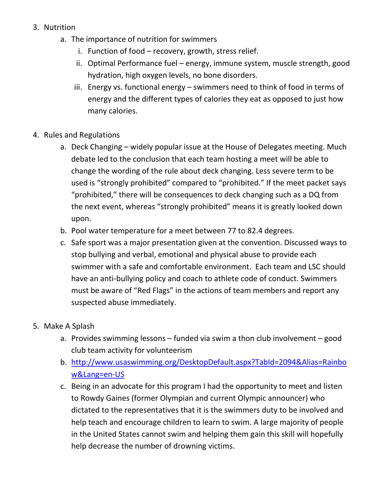- 3. Nutrition
	- a. The importance of nutrition for swimmers
		- i. Function of food recovery, growth, stress relief.
		- ii. Optimal Performance fuel energy, immune system, muscle strength, good hydration, high oxygen levels, no bone disorders.
		- iii. Energy vs. functional energy swimmers need to think of food in terms of energy and the different types of calories they eat as opposed to just how many calories.
- 4. Rules and Regulations
	- a. Deck Changing widely popular issue at the House of Delegates meeting. Much debate led to the conclusion that each team hosting a meet will be able to change the wording of the rule about deck changing. Less severe term to be used is "strongly prohibited" compared to "prohibited." If the meet packet says "prohibited," there will be consequences to deck changing such as a DQ from the next event, whereas "strongly prohibited" means it is greatly looked down upon.
	- b. Pool water temperature for a meet between 77 to 82.4 degrees.
	- c. Safe sport was a major presentation given at the convention. Discussed ways to stop bullying and verbal, emotional and physical abuse to provide each swimmer with a safe and comfortable environment. Each team and LSC should have an anti-bullying policy and coach to athlete code of conduct. Swimmers must be aware of "Red Flags" in the actions of team members and report any suspected abuse immediately.
- 5. Make A Splash
	- a. Provides swimming lessons funded via swim a thon club involvement good club team activity for volunteerism
	- b. [http://www.usaswimming.org/DesktopDefault.aspx?TabId=2094&Alias=Rainbo](http://www.usaswimming.org/DesktopDefault.aspx?TabId=2094&Alias=Rainbow&Lang=en-US) [w&Lang=en-US](http://www.usaswimming.org/DesktopDefault.aspx?TabId=2094&Alias=Rainbow&Lang=en-US)
	- c. Being in an advocate for this program I had the opportunity to meet and listen to Rowdy Gaines (former Olympian and current Olympic announcer) who dictated to the representatives that it is the swimmers duty to be involved and help teach and encourage children to learn to swim. A large majority of people in the United States cannot swim and helping them gain this skill will hopefully help decrease the number of drowning victims.